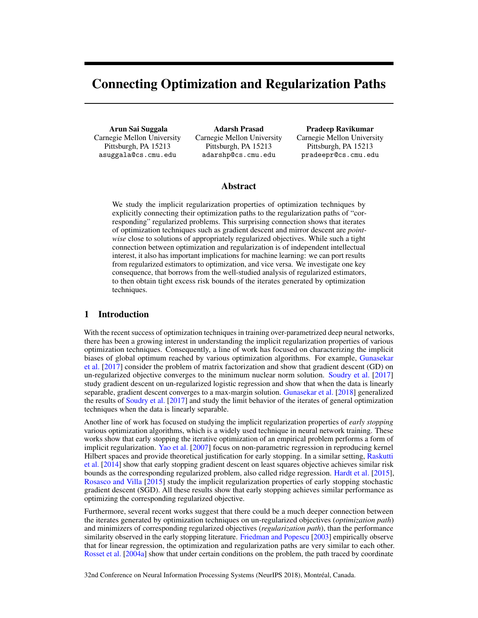# Connecting Optimization and Regularization Paths

Arun Sai Suggala Carnegie Mellon University Pittsburgh, PA 15213 asuggala@cs.cmu.edu

Adarsh Prasad Carnegie Mellon University Pittsburgh, PA 15213 adarshp@cs.cmu.edu

Pradeep Ravikumar Carnegie Mellon University Pittsburgh, PA 15213 pradeepr@cs.cmu.edu

## Abstract

We study the implicit regularization properties of optimization techniques by explicitly connecting their optimization paths to the regularization paths of "corresponding" regularized problems. This surprising connection shows that iterates of optimization techniques such as gradient descent and mirror descent are *pointwise* close to solutions of appropriately regularized objectives. While such a tight connection between optimization and regularization is of independent intellectual interest, it also has important implications for machine learning: we can port results from regularized estimators to optimization, and vice versa. We investigate one key consequence, that borrows from the well-studied analysis of regularized estimators, to then obtain tight excess risk bounds of the iterates generated by optimization techniques.

## 1 Introduction

With the recent success of optimization techniques in training over-parametrized deep neural networks, there has been a growing interest in understanding the implicit regularization properties of various optimization techniques. Consequently, a line of work has focused on characterizing the implicit biases of global optimum reached by various optimization algorithms. For example, [Gunasekar](#page-10-0) [et al.](#page-10-0) [\[2017\]](#page-10-0) consider the problem of matrix factorization and show that gradient descent (GD) on un-regularized objective converges to the minimum nuclear norm solution. [Soudry et al.](#page-10-1) [\[2017\]](#page-10-1) study gradient descent on un-regularized logistic regression and show that when the data is linearly separable, gradient descent converges to a max-margin solution. [Gunasekar et al.](#page-10-2) [\[2018\]](#page-10-2) generalized the results of [Soudry et al.](#page-10-1) [\[2017\]](#page-10-1) and study the limit behavior of the iterates of general optimization techniques when the data is linearly separable.

Another line of work has focused on studying the implicit regularization properties of *early stopping* various optimization algorithms, which is a widely used technique in neural network training. These works show that early stopping the iterative optimization of an empirical problem performs a form of implicit regularization. [Yao et al.](#page-11-0) [\[2007\]](#page-11-0) focus on non-parametric regression in reproducing kernel Hilbert spaces and provide theoretical justification for early stopping. In a similar setting, [Raskutti](#page-10-3) [et al.](#page-10-3) [\[2014\]](#page-10-3) show that early stopping gradient descent on least squares objective achieves similar risk bounds as the corresponding regularized problem, also called ridge regression. [Hardt et al.](#page-10-4) [\[2015\]](#page-10-4), [Rosasco and Villa](#page-10-5) [\[2015\]](#page-10-5) study the implicit regularization properties of early stopping stochastic gradient descent (SGD). All these results show that early stopping achieves similar performance as optimizing the corresponding regularized objective.

Furthermore, several recent works suggest that there could be a much deeper connection between the iterates generated by optimization techniques on un-regularized objectives (*optimization path*) and minimizers of corresponding regularized objectives (*regularization path*), than the performance similarity observed in the early stopping literature. [Friedman and Popescu](#page-10-6) [\[2003\]](#page-10-6) empirically observe that for linear regression, the optimization and regularization paths are very similar to each other. [Rosset et al.](#page-10-7) [\[2004a\]](#page-10-7) show that under certain conditions on the problem, the path traced by coordinate

32nd Conference on Neural Information Processing Systems (NeurIPS 2018), Montréal, Canada.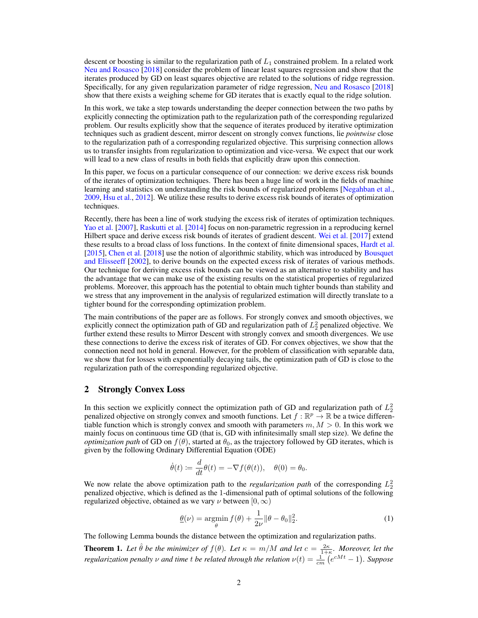descent or boosting is similar to the regularization path of  $L_1$  constrained problem. In a related work [Neu and Rosasco](#page-10-8) [\[2018\]](#page-10-8) consider the problem of linear least squares regression and show that the iterates produced by GD on least squares objective are related to the solutions of ridge regression. Specifically, for any given regularization parameter of ridge regression, [Neu and Rosasco](#page-10-8) [\[2018\]](#page-10-8) show that there exists a weighing scheme for GD iterates that is exactly equal to the ridge solution.

In this work, we take a step towards understanding the deeper connection between the two paths by explicitly connecting the optimization path to the regularization path of the corresponding regularized problem. Our results explicitly show that the sequence of iterates produced by iterative optimization techniques such as gradient descent, mirror descent on strongly convex functions, lie *pointwise* close to the regularization path of a corresponding regularized objective. This surprising connection allows us to transfer insights from regularization to optimization and vice-versa. We expect that our work will lead to a new class of results in both fields that explicitly draw upon this connection.

In this paper, we focus on a particular consequence of our connection: we derive excess risk bounds of the iterates of optimization techniques. There has been a huge line of work in the fields of machine learning and statistics on understanding the risk bounds of regularized problems [\[Negahban et al.,](#page-10-9) [2009,](#page-10-9) [Hsu et al.,](#page-10-10) [2012\]](#page-10-10). We utilize these results to derive excess risk bounds of iterates of optimization techniques.

Recently, there has been a line of work studying the excess risk of iterates of optimization techniques. [Yao et al.](#page-11-0) [\[2007\]](#page-11-0), [Raskutti et al.](#page-10-3) [\[2014\]](#page-10-3) focus on non-parametric regression in a reproducing kernel Hilbert space and derive excess risk bounds of iterates of gradient descent. [Wei et al.](#page-11-1) [\[2017\]](#page-11-1) extend these results to a broad class of loss functions. In the context of finite dimensional spaces, [Hardt et al.](#page-10-4) [\[2015\]](#page-10-4), [Chen et al.](#page-10-11) [\[2018\]](#page-10-11) use the notion of algorithmic stability, which was introduced by [Bousquet](#page-10-12) [and Elisseeff](#page-10-12) [\[2002\]](#page-10-12), to derive bounds on the expected excess risk of iterates of various methods. Our technique for deriving excess risk bounds can be viewed as an alternative to stability and has the advantage that we can make use of the existing results on the statistical properties of regularized problems. Moreover, this approach has the potential to obtain much tighter bounds than stability and we stress that any improvement in the analysis of regularized estimation will directly translate to a tighter bound for the corresponding optimization problem.

The main contributions of the paper are as follows. For strongly convex and smooth objectives, we explicitly connect the optimization path of GD and regularization path of *L*<sup>2</sup> <sup>2</sup> penalized objective. We further extend these results to Mirror Descent with strongly convex and smooth divergences. We use these connections to derive the excess risk of iterates of GD. For convex objectives, we show that the connection need not hold in general. However, for the problem of classification with separable data, we show that for losses with exponentially decaying tails, the optimization path of GD is close to the regularization path of the corresponding regularized objective.

## 2 Strongly Convex Loss

In this section we explicitly connect the optimization path of GD and regularization path of  $L_2^2$ penalized objective on strongly convex and smooth functions. Let  $f : \mathbb{R}^p \to \mathbb{R}$  be a twice differentiable function which is strongly convex and smooth with parameters  $m, M > 0$ . In this work we mainly focus on continuous time GD (that is, GD with infinitesimally small step size). We define the *optimization path* of GD on  $f(\theta)$ , started at  $\theta_0$ , as the trajectory followed by GD iterates, which is given by the following Ordinary Differential Equation (ODE)

$$
\dot{\theta}(t) := \frac{d}{dt}\theta(t) = -\nabla f(\theta(t)), \quad \theta(0) = \theta_0.
$$

We now relate the above optimization path to the *regularization path* of the corresponding  $L_2^2$ penalized objective, which is defined as the 1-dimensional path of optimal solutions of the following regularized objective, obtained as we vary  $\nu$  between  $[0, \infty)$ 

<span id="page-1-1"></span>
$$
\underline{\theta}(\nu) = \underset{\theta}{\operatorname{argmin}} f(\theta) + \frac{1}{2\nu} \|\theta - \theta_0\|_2^2. \tag{1}
$$

The following Lemma bounds the distance between the optimization and regularization paths.

<span id="page-1-0"></span>**Theorem 1.** Let  $\hat{\theta}$  be the minimizer of  $f(\theta)$ . Let  $\kappa = m/M$  and let  $c = \frac{2\kappa}{1+\kappa}$ . Moreover, let the *regularization penalty*  $\nu$  *and time t be related through the relation*  $\nu(t) = \frac{1}{cm} (e^{cMt} - 1)$ *. Suppose*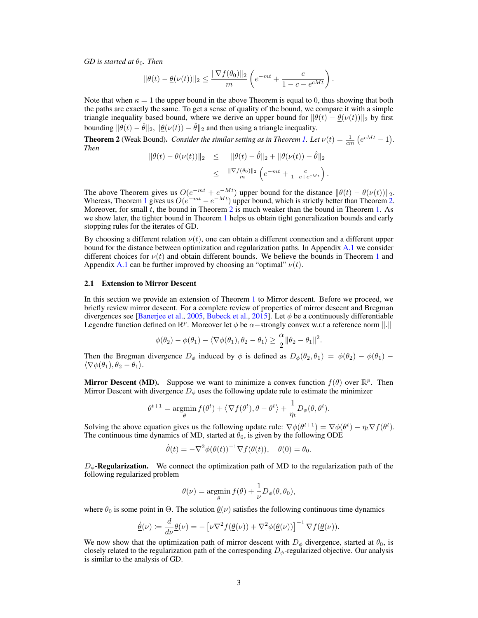*GD is started at*  $\theta_0$ *. Then* 

$$
\|\theta(t) - \underline{\theta}(\nu(t))\|_2 \le \frac{\|\nabla f(\theta_0)\|_2}{m} \left(e^{-mt} + \frac{c}{1 - c - e^{cMt}}\right).
$$

Note that when  $\kappa = 1$  the upper bound in the above Theorem is equal to 0, thus showing that both the paths are exactly the same. To get a sense of quality of the bound, we compare it with a simple triangle inequality based bound, where we derive an upper bound for  $\|\theta(t) - \underline{\theta}(\nu(t))\|_2$  by first bounding  $\|\theta(t) - \hat{\theta}\|_2$ ,  $\|\underline{\theta}(\nu(t)) - \hat{\theta}\|_2$  and then using a triangle inequality.

<span id="page-2-0"></span>**Theorem 2** (Weak Bound). *Consider the similar setting as in Theorem [1.](#page-1-0) Let*  $\nu(t) = \frac{1}{cm} (e^{cMt} - 1)$ . *Then*

$$
\begin{array}{rcl} \|\theta(t) - \underline{\theta}(\nu(t))\|_2 & \leq & \|\theta(t) - \hat{\theta}\|_2 + \|\underline{\theta}(\nu(t)) - \hat{\theta}\|_2 \\ & \leq & \frac{\|\nabla f(\theta_0)\|_2}{m} \left(e^{-mt} + \frac{c}{1 - c + e^{cMt}}\right). \end{array}
$$

The above Theorem gives us  $O(e^{-mt} + e^{-Mt})$  upper bound for the distance  $\|\theta(t) - \frac{\theta(\nu(t))}{\|2}$ . Whereas, Theorem [1](#page-1-0) gives us  $O(e^{-mt} - e^{-Mt})$  upper bound, which is strictly better than Theorem [2.](#page-2-0) Moreover, for small  $\bar{t}$ , the bound in Theorem [2](#page-2-0) is much weaker than the bound in Theorem [1.](#page-1-0) As we show later, the tighter bound in Theorem [1](#page-1-0) helps us obtain tight generalization bounds and early stopping rules for the iterates of GD.

By choosing a different relation  $\nu(t)$ , one can obtain a different connection and a different upper bound for the distance between optimization and regularization paths. In Appendix [A.1](#page--1-0) we consider different choices for  $\nu(t)$  and obtain different bounds. We believe the bounds in Theorem [1](#page-1-0) and Appendix [A.1](#page--1-0) can be further improved by choosing an "optimal"  $\nu(t)$ .

#### 2.1 Extension to Mirror Descent

In this section we provide an extension of Theorem [1](#page-1-0) to Mirror descent. Before we proceed, we briefly review mirror descent. For a complete review of properties of mirror descent and Bregman divergences see [\[Banerjee et al.,](#page-10-13) [2005,](#page-10-13) [Bubeck et al.,](#page-10-14) [2015\]](#page-10-14). Let  $\phi$  be a continuously differentiable Legendre function defined on  $\mathbb{R}^p$ . Moreover let  $\phi$  be  $\alpha$ -strongly convex w.r.t a reference norm  $\|.\|$ 

$$
\phi(\theta_2) - \phi(\theta_1) - \langle \nabla \phi(\theta_1), \theta_2 - \theta_1 \rangle \geq \frac{\alpha}{2} \|\theta_2 - \theta_1\|^2.
$$

Then the Bregman divergence  $D_{\phi}$  induced by  $\phi$  is defined as  $D_{\phi}(\theta_2, \theta_1) = \phi(\theta_2) - \phi(\theta_1)$  $\langle \nabla \phi(\theta_1), \theta_2 - \theta_1 \rangle$ .

**Mirror Descent (MD).** Suppose we want to minimize a convex function  $f(\theta)$  over  $\mathbb{R}^p$ . Then Mirror Descent with divergence  $D_{\phi}$  uses the following update rule to estimate the minimizer

$$
\theta^{t+1} = \operatorname*{argmin}_{\theta} f(\theta^t) + \langle \nabla f(\theta^t), \theta - \theta^t \rangle + \frac{1}{\eta_t} D_{\phi}(\theta, \theta^t).
$$

Solving the above equation gives us the following update rule:  $\nabla \phi(\theta^{t+1}) = \nabla \phi(\theta^t) - \eta_t \nabla f(\theta^t)$ . The continuous time dynamics of MD, started at  $\theta_0$ , is given by the following ODE

$$
\dot{\theta}(t) = -\nabla^2 \phi(\theta(t))^{-1} \nabla f(\theta(t)), \quad \theta(0) = \theta_0.
$$

 $D_{\phi}$ -**Regularization.** We connect the optimization path of MD to the regularization path of the following regularized problem

$$
\underline{\theta}(\nu) = \operatorname*{argmin}_{\theta} f(\theta) + \frac{1}{\nu} D_{\phi}(\theta, \theta_0),
$$

where  $\theta_0$  is some point in  $\Theta$ . The solution  $\underline{\theta}(\nu)$  satisfies the following continuous time dynamics

$$
\underline{\dot{\theta}}(\nu) \coloneqq \frac{d}{d\nu} \underline{\theta}(\nu) = -\left[\nu \nabla^2 f(\underline{\theta}(\nu)) + \nabla^2 \phi(\underline{\theta}(\nu))\right]^{-1} \nabla f(\underline{\theta}(\nu)).
$$

We now show that the optimization path of mirror descent with  $D_{\phi}$  divergence, started at  $\theta_0$ , is closely related to the regularization path of the corresponding  $D_{\phi}$ -regularized objective. Our analysis is similar to the analysis of GD.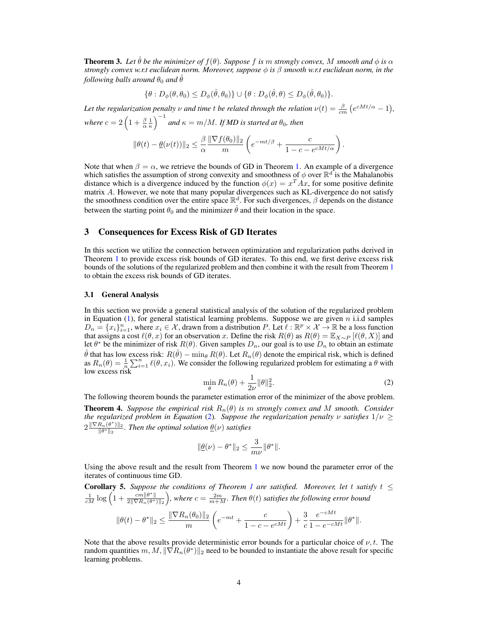**Theorem 3.** Let  $\hat{\theta}$  be the minimizer of  $f(\theta)$ . Suppose f is m strongly convex, M smooth and  $\phi$  is  $\alpha$ *strongly convex w.r.t euclidean norm. Moreover, suppose*  $\phi$  *is*  $\beta$  *smooth w.r.t euclidean norm, in the following balls around*  $\theta_0$  *and*  $\theta$ 

$$
\{\theta: D_{\phi}(\theta, \theta_0) \leq D_{\phi}(\hat{\theta}, \theta_0)\} \cup \{\theta: D_{\phi}(\hat{\theta}, \theta) \leq D_{\phi}(\hat{\theta}, \theta_0)\}.
$$

Let the regularization penalty  $\nu$  and time t be related through the relation  $\nu(t) = \frac{\beta}{cm} (e^{cMt/\alpha} - 1)$ , *where*  $c = 2\left(1 + \frac{\beta}{\alpha}\frac{1}{\kappa}\right)$  $\int^{-1}$  and  $\kappa = m/M$ *. If MD is started at*  $\theta_0$ *, then* 

$$
\|\theta(t)-\underline{\theta}(\nu(t))\|_2 \leq \frac{\beta}{\alpha} \frac{\|\nabla f(\theta_0)\|_2}{m}\left(e^{-mt/\beta} + \frac{c}{1-c-e^{cMt/\alpha}}\right).
$$

Note that when  $\beta = \alpha$ , we retrieve the bounds of GD in Theorem [1.](#page-1-0) An example of a divergence which satisfies the assumption of strong convexity and smoothness of  $\phi$  over  $\mathbb{R}^d$  is the Mahalanobis distance which is a divergence induced by the function  $\phi(x) = x^T A x$ , for some positive definite matrix *A*. However, we note that many popular divergences such as KL-divergence do not satisfy the smoothness condition over the entire space  $\mathbb{R}^d$ . For such divergences,  $\beta$  depends on the distance between the starting point  $\theta_0$  and the minimizer  $\hat{\theta}$  and their location in the space.

## 3 Consequences for Excess Risk of GD Iterates

In this section we utilize the connection between optimization and regularization paths derived in Theorem [1](#page-1-0) to provide excess risk bounds of GD iterates. To this end, we first derive excess risk bounds of the solutions of the regularized problem and then combine it with the result from Theorem [1](#page-1-0) to obtain the excess risk bounds of GD iterates.

#### 3.1 General Analysis

In this section we provide a general statistical analysis of the solution of the regularized problem in Equation [\(1\)](#page-1-1), for general statistical learning problems. Suppose we are given *n* i.i.d samples  $D_n = \{x_i\}_{i=1}^n$ , where  $x_i \in \mathcal{X}$ , drawn from a distribution *P*. Let  $\ell : \mathbb{R}^p \times \mathcal{X} \to \mathbb{R}$  be a loss function that assigns a cost  $\ell(\theta, x)$  for an observation *x*. Define the risk  $R(\theta)$  as  $R(\theta) = \mathbb{E}_{X \sim P} [\ell(\theta, X)]$  and let  $\theta^*$  be the minimizer of risk  $R(\theta)$ . Given samples  $D_n$ , our goal is to use  $D_n$  to obtain an estimate  $\hat{\theta}$  that has low excess risk:  $R(\hat{\theta}) - \min_{\theta} R(\theta)$ . Let  $R_n(\theta)$  denote the empirical risk, which is defined as  $R_n(\theta) = \frac{1}{n} \sum_{i=1}^n \ell(\theta, x_i)$ . We consider the following regularized problem for estimating a  $\theta$  with low excess risk<br>  $\min R_n(\theta) + \frac{1}{2}$ 

$$
\min_{\theta} R_n(\theta) + \frac{1}{2\nu} \|\theta\|_2^2.
$$
 (2)

<span id="page-3-0"></span>The following theorem bounds the parameter estimation error of the minimizer of the above problem. **Theorem 4.** *Suppose the empirical risk*  $R_n(\theta)$  *is m strongly convex and M smooth. Consider the regularized problem in Equation* [\(2\)](#page-3-0). Suppose the regularization penalty  $\nu$  satisfies  $1/\nu \geq$  $2\frac{\|\nabla R_n(\theta^*)\|_2}{\|\theta^*\|_2}$ . Then the optimal solution  $\underline{\theta}(\nu)$  satisfies

$$
\|\underline{\theta}(\nu)-\theta^*\|_2\leq \frac{3}{m\nu}\|\theta^*\|.
$$

Using the above result and the result from Theorem [1](#page-1-0) we now bound the parameter error of the iterates of continuous time GD.

**Corollary 5.** Suppose the conditions of Theorem [1](#page-1-0) are satisfied. Moreover, let t satisfy  $t \leq$  $\frac{1}{cM}\log\left(1+\frac{cm\|\theta^*\|}{2\|\nabla R_n(\theta^*)\|_2}\right)$  $\left( \int_{0}^{L} \right)$ , where  $c = \frac{2m}{m+M}$ . Then  $\theta(t)$  satisfies the following error bound

$$
\|\theta(t)-\theta^*\|_2 \leq \frac{\|\nabla R_n(\theta_0)\|_2}{m}\left(e^{-mt} + \frac{c}{1-c-e^{cMt}}\right) + \frac{3}{c}\frac{e^{-cMt}}{1-e^{-cMt}}\|\theta^*\|.
$$

Note that the above results provide deterministic error bounds for a particular choice of  $\nu, t$ . The random quantities  $m, M, ||\nabla R_n(\theta^*)||_2$  need to be bounded to instantiate the above result for specific learning problems.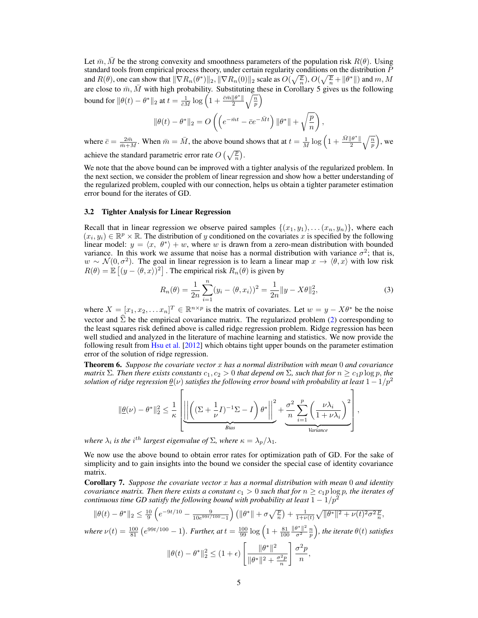Let  $\bar{m}$ , M be the strong convexity and smoothness parameters of the population risk  $R(\theta)$ . Using standard tools from empirical process theory, under certain regularity conditions on the distribution *P* and  $R(\theta)$ , one can show that  $\|\nabla R_n(\theta^*)\|_2$ ,  $\|\nabla R_n(0)\|_2$  scale as  $O(\sqrt{\frac{p}{n}}), O(\sqrt{\frac{p}{n}} + \|\theta^*\|)$  and  $m, M$ are close to  $\bar{m}, \bar{M}$  with high probability. Substituting these in Corollary 5 gives us the following bound for  $\|\theta(t) - \theta^*\|_2$  at  $t = \frac{1}{\epsilon M} \log \left(1 + \frac{\bar{c}\bar{m} \|\theta^*\|}{2} \sqrt{\frac{n}{p}}\right)$  $\setminus$ 

$$
\|\theta(t)-\theta^*\|_2=O\left(\left(e^{-\bar mt}-\bar ce^{-\bar Mt}\right)\|\theta^*\|+\sqrt{\frac{p}{n}}\right),
$$

where  $\bar{c} = \frac{2\bar{m}}{\bar{m} + M}$ . When  $\bar{m} = \bar{M}$ , the above bound shows that at  $t = \frac{1}{\bar{M}} \log \left(1 + \frac{\bar{M} \|\theta^*\|}{2} \sqrt{\frac{n}{p}}\right)$  $\big)$ , we achieve the standard parametric error rate  $O\left(\sqrt{\frac{p}{n}}\right)$ .

We note that the above bound can be improved with a tighter analysis of the regularized problem. In the next section, we consider the problem of linear regression and show how a better understanding of the regularized problem, coupled with our connection, helps us obtain a tighter parameter estimation error bound for the iterates of GD.

#### 3.2 Tighter Analysis for Linear Regression

Recall that in linear regression we observe paired samples  $\{(x_1, y_1), \ldots, (x_n, y_n)\}$ , where each  $(x_i, y_i) \in \mathbb{R}^p \times \mathbb{R}$ . The distribution of *y* conditioned on the covariates *x* is specified by the following linear model:  $y = \langle x, \theta^* \rangle + w$ , where *w* is drawn from a zero-mean distribution with bounded variance. In this work we assume that noise has a normal distribution with variance  $\sigma^2$ ; that is,  $w \sim \mathcal{N}(0, \sigma^2)$ . The goal in linear regression is to learn a linear map  $x \to \langle \theta, x \rangle$  with low risk  $R(\theta) = \mathbb{E} \left[ (y - \langle \theta, x \rangle)^2 \right]$ . The empirical risk  $R_n(\theta)$  is given by

$$
R_n(\theta) = \frac{1}{2n} \sum_{i=1}^n (y_i - \langle \theta, x_i \rangle)^2 = \frac{1}{2n} ||y - X\theta||_2^2,
$$
\n(3)

where  $X = [x_1, x_2, \dots x_n]^T \in \mathbb{R}^{n \times p}$  is the matrix of covariates. Let  $w = y - X\theta^*$  be the noise vector and  $\hat{\Sigma}$  be the empirical covariance matrix. The regularized problem [\(2\)](#page-3-0) corresponding to the least squares risk defined above is called ridge regression problem. Ridge regression has been well studied and analyzed in the literature of machine learning and statistics. We now provide the following result from [Hsu et al.](#page-10-10) [\[2012\]](#page-10-10) which obtains tight upper bounds on the parameter estimation error of the solution of ridge regression.

Theorem 6. *Suppose the covariate vector x has a normal distribution with mean* 0 *and covariance matrix*  $\Sigma$ *. Then there exists constants*  $c_1, c_2 > 0$  *that depend on*  $\Sigma$ *, such that for*  $n \geq c_1 p \log p$ *, the solution of ridge regression*  $\underline{\theta}(\nu)$  *satisfies the following error bound with probability at least*  $1 - 1/p^2$ 

$$
\|\underline{\theta}(\nu) - \theta^*\|_2^2 \leq \frac{1}{\kappa} \left[ \left\| \left( (\Sigma + \frac{1}{\nu} I)^{-1} \Sigma - I \right) \theta^* \right\|_2^2 + \underbrace{\frac{\sigma^2}{n} \sum_{i=1}^p \left( \frac{\nu \lambda_i}{1 + \nu \lambda_i} \right)^2}_{\text{Variance}} \right],
$$

*where*  $\lambda_i$  *is the i*<sup>th</sup> largest eigenvalue of  $\Sigma$ , where  $\kappa = \lambda_p/\lambda_1$ .

We now use the above bound to obtain error rates for optimization path of GD. For the sake of simplicity and to gain insights into the bound we consider the special case of identity covariance matrix.

<span id="page-4-0"></span>Corollary 7. *Suppose the covariate vector x has a normal distribution with mean* 0 *and identity covariance matrix. Then there exists a constant*  $c_1 > 0$  *such that for*  $n \geq c_1 p \log p$ *, the iterates of continuous time GD satisfy the following bound with probability at least*  $1 - 1/p^2$ 

$$
\|\theta(t)-\theta^*\|_2 \leq \tfrac{10}{9}\left(e^{-9t/10}-\tfrac{9}{10e^{99t/100}-1}\right)\left(\|\theta^*\|+\sigma\sqrt{\tfrac{p}{n}}\right)+\tfrac{1}{1+\nu(t)}\sqrt{\|\theta^*\|^2+\nu(t)^2\sigma^2\tfrac{p}{n}},
$$

*where*  $\nu(t) = \frac{100}{81} \left( e^{99t/100} - 1 \right)$ *. Further, at*  $t = \frac{100}{99} \log \left( 1 + \frac{81}{100} \frac{\|\theta^*\|^2}{\sigma^2} \frac{n}{p} \right)$  $\left( \cdot \right)$ , the iterate  $\theta(t)$  satisfies

$$
\|\theta(t) - \theta^*\|_2^2 \le (1+\epsilon) \left[ \frac{\|\theta^*\|^2}{\|\theta^*\|^2 + \frac{\sigma^2 p}{n}} \right] \frac{\sigma^2 p}{n},
$$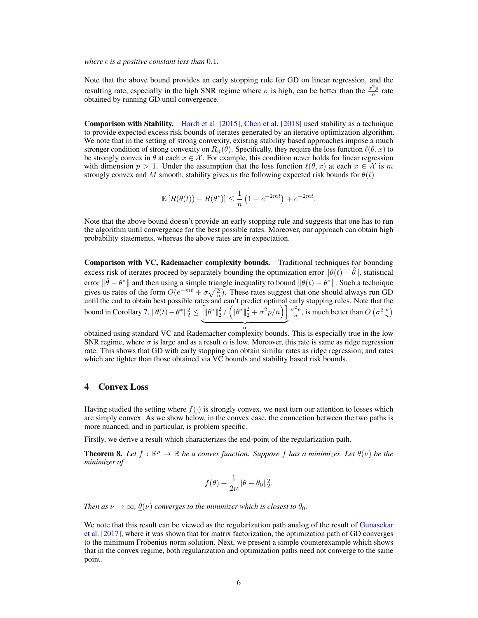*where*  $\epsilon$  *is a positive constant less than* 0.1*.* 

Note that the above bound provides an early stopping rule for GD on linear regression, and the resulting rate, especially in the high SNR regime where  $\sigma$  is high, can be better than the  $\frac{\sigma^2 p}{n}$  rate obtained by running GD until convergence.

Comparison with Stability. [Hardt et al.](#page-10-4) [\[2015\]](#page-10-4), [Chen et al.](#page-10-11) [\[2018\]](#page-10-11) used stability as a technique to provide expected excess risk bounds of iterates generated by an iterative optimization algorithm. We note that in the setting of strong convexity, existing stability based approaches impose a much stronger condition of strong convexity on  $R_n(\theta)$ . Specifically, they require the loss function  $\ell(\theta, x)$  to be strongly convex in  $\theta$  at each  $x \in \mathcal{X}$ . For example, this condition never holds for linear regression with dimension  $p > 1$ . Under the assumption that the loss function  $\ell(\theta, x)$  at each  $x \in \mathcal{X}$  is m strongly convex and M smooth, stability gives us the following expected risk bounds for  $\theta(t)$ 

$$
\mathbb{E}\left[R(\theta(t)) - R(\theta^*)\right] \le \frac{1}{n} \left(1 - e^{-2mt}\right) + e^{-2mt}.
$$

Note that the above bound doesn't provide an early stopping rule and suggests that one has to run the algorithm until convergence for the best possible rates. Moreover, our approach can obtain high probability statements, whereas the above rates are in expectation.

Comparison with VC, Rademacher complexity bounds. Traditional techniques for bounding excess risk of iterates proceed by separately bounding the optimization error  $\|\theta(t) - \theta\|$ , statistical error  $\|\hat{\theta} - \theta^*\|$  and then using a simple triangle inequality to bound  $\|\theta(t) - \theta^*\|$ . Such a technique gives us rates of the form  $O(e^{-mt} + \sigma \sqrt{\frac{p}{n}})$ . These rates suggest that one should always run GD until the end to obtain best possible rates and can't predict optimal early stopping rules. Note that the bound in Corollary [7,](#page-4-0)  $\|\theta(t) - \theta^*\|_2^2 \leq$  $\left[ \|\theta^*\|_2^2 / \left( \|\theta^*\|_2^2 + \sigma^2 p/n \right) \right]$  $\alpha$  $\frac{\sigma^2 p}{n}$ , is much better than  $O\left(\sigma^2 \frac{p}{n}\right)$ 

obtained using standard VC and Rademacher complexity bounds. This is especially true in the low SNR regime, where  $\sigma$  is large and as a result  $\alpha$  is low. Moreover, this rate is same as ridge regression rate. This shows that GD with early stopping can obtain similar rates as ridge regression; and rates which are tighter than those obtained via VC bounds and stability based risk bounds.

#### 4 Convex Loss

Having studied the setting where  $f(\cdot)$  is strongly convex, we next turn our attention to losses which are simply convex. As we show below, in the convex case, the connection between the two paths is more nuanced, and in particular, is problem specific.

Firstly, we derive a result which characterizes the end-point of the regularization path.

**Theorem 8.** Let  $f : \mathbb{R}^p \to \mathbb{R}$  be a convex function. Suppose f has a minimizer. Let  $\underline{\theta}(\nu)$  be the *minimizer of*

$$
f(\theta) + \frac{1}{2\nu} \|\theta - \theta_0\|_2^2.
$$

*Then as*  $\nu \to \infty$ ,  $\underline{\theta}(\nu)$  *converges to the minimizer which is closest to*  $\theta_0$ *.* 

We note that this result can be viewed as the regularization path analog of the result of [Gunasekar](#page-10-0) [et al.](#page-10-0) [\[2017\]](#page-10-0), where it was shown that for matrix factorization, the optimization path of GD converges to the minimum Frobenius norm solution. Next, we present a simple counterexample which shows that in the convex regime, both regularization and optimization paths need not converge to the same point.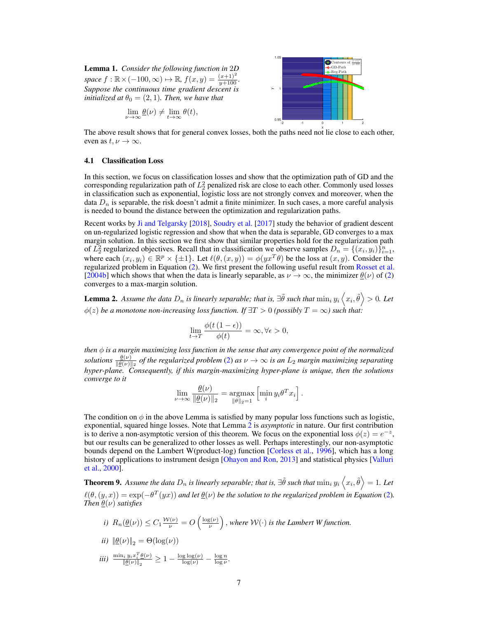Lemma 1. *Consider the following function in* 2*D*  $space f : \mathbb{R} \times (-100, \infty) \mapsto \mathbb{R}, f(x, y) = \frac{(x+1)^2}{y+100}.$  $Suppose the continuous time gradient descent is$ *initialized at*  $\theta_0 = (2, 1)$ *. Then, we have that* 

$$
\lim_{\nu \to \infty} \underline{\theta}(\nu) \neq \lim_{t \to \infty} \theta(t),
$$



The above result shows that for general convex losses, both the paths need not lie close to each other, even as  $t, \nu \to \infty$ .

#### 4.1 Classification Loss

In this section, we focus on classification losses and show that the optimization path of GD and the corresponding regularization path of *L*<sup>2</sup> <sup>2</sup> penalized risk are close to each other. Commonly used losses in classification such as exponential, logistic loss are not strongly convex and moreover, when the data  $D_n$  is separable, the risk doesn't admit a finite minimizer. In such cases, a more careful analysis is needed to bound the distance between the optimization and regularization paths.

Recent works by [Ji and Telgarsky](#page-10-15) [\[2018\]](#page-10-15), [Soudry et al.](#page-10-1) [\[2017\]](#page-10-1) study the behavior of gradient descent on un-regularized logistic regression and show that when the data is separable, GD converges to a max margin solution. In this section we first show that similar properties hold for the regularization path of  $L_2^2$  regularized objectives. Recall that in classification we observe samples  $D_n = \{(x_i, y_i)\}_{i=1}^n$ , where each  $(x_i, y_i) \in \mathbb{R}^p \times \{\pm 1\}$ . Let  $\ell(\theta, (x, y)) = \phi(yx^T\theta)$  be the loss at  $(x, y)$ . Consider the regularized problem in Equation [\(2\)](#page-3-0). We first present the following useful result from [Rosset et al.](#page-10-16) [\[2004b\]](#page-10-16) which shows that when the data is linearly separable, as  $\nu \to \infty$ , the minimizer  $\underline{\theta}(\nu)$  of [\(2\)](#page-3-0) converges to a max-margin solution.

<span id="page-6-0"></span>**Lemma 2.** Assume the data  $D_n$  is linearly separable; that is,  $\exists \tilde{\theta}$  such that  $\min_i y_i \left\langle x_i, \tilde{\theta} \right\rangle > 0$ . Let  $\phi(z)$  *be a monotone non-increasing loss function. If*  $\exists T > 0$  (*possibly*  $T = \infty$ ) such that:

$$
\lim_{t\to T}\frac{\phi(t\,(1-\epsilon))}{\phi(t)}=\infty, \forall \epsilon>0,
$$

*then is a margin maximizing loss function in the sense that any convergence point of the normalized* solutions  $\frac{\theta(\nu)}{\|\theta(\nu)\|_2}$  of the regularized problem [\(2\)](#page-3-0) as  $\nu \to \infty$  is an  $L_2$  margin maximizing separating<br>hyper-plane. Consequently, if this margin-maximizing hyper-plane is unique, then the solutions *converge to it*

$$
\lim_{\nu \to \infty} \frac{\underline{\theta}(\nu)}{\|\underline{\theta}(\nu)\|_2} = \underset{\|\theta\|_2 = 1}{\operatorname{argmax}} \left[ \min_i y_i \theta^T x_i \right].
$$

The condition on  $\phi$  in the above Lemma is satisfied by many popular loss functions such as logistic, exponential, squared hinge losses. Note that Lemma [2](#page-6-0) is *asymptotic* in nature. Our first contribution is to derive a non-asymptotic version of this theorem. We focus on the exponential loss  $\phi(z) = e^{-z}$ , but our results can be generalized to other losses as well. Perhaps interestingly, our non-asymptotic bounds depend on the Lambert W(product-log) function [\[Corless et al.,](#page-10-17) [1996\]](#page-10-17), which has a long history of applications to instrument design [\[Ohayon and Ron,](#page-10-18) [2013\]](#page-10-18) and statistical physics [\[Valluri](#page-11-2) [et al.,](#page-11-2) [2000\]](#page-11-2).

**Theorem 9.** Assume the data  $D_n$  is linearly separable; that is,  $\exists \tilde{\theta}$  such that  $\min_i y_i \left\langle x_i, \tilde{\theta} \right\rangle = 1$ . Let  $\ell(\theta,(y,x)) = \exp(-\theta^T(yx))$  and let  $\underline{\theta}(\nu)$  be the solution to the regularized problem in Equation [\(2\)](#page-3-0). *Then*  $\theta(\nu)$  *satisfies* 

*i*)  $R_n(\underline{\theta}(\nu)) \leq C_1 \frac{\mathcal{W}(\nu)}{\nu} = O\left(\frac{\log(\nu)}{\nu}\right)$  $\overline{\nu}$  $\left( \right)$ , where  $\mathcal{W}(\cdot)$  is the Lambert W function. *ii*)  $\|\underline{\theta}(\nu)\|_2 = \Theta(\log(\nu))$ *iii*)  $\frac{\min_i y_i x_i^T \underline{\theta}(\nu)}{\|\theta(\nu)\|}$  $\frac{\|\theta(\nu)\|_2}{\|\theta(\nu)\|_2} \geq 1 - \frac{\log \log(\nu)}{\log(\nu)} - \frac{\log n}{\log \nu}.$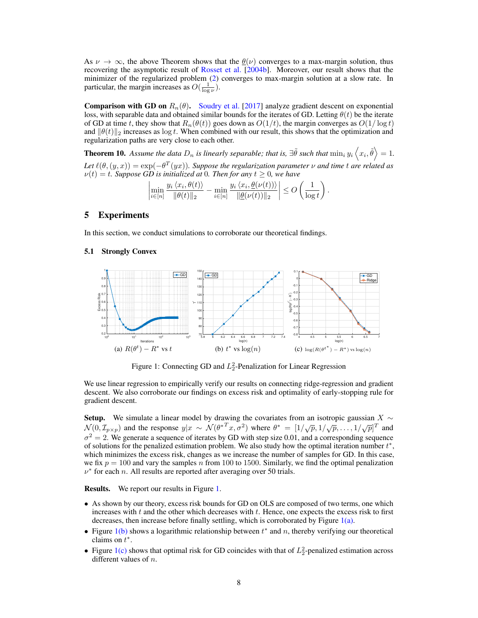As  $\nu \to \infty$ , the above Theorem shows that the  $\theta(\nu)$  converges to a max-margin solution, thus recovering the asymptotic result of [Rosset et al.](#page-10-16) [\[2004b\]](#page-10-16). Moreover, our result shows that the minimizer of the regularized problem [\(2\)](#page-3-0) converges to max-margin solution at a slow rate. In particular, the margin increases as  $O(\frac{1}{\log \nu})$ .

**Comparison with GD on**  $R_n(\theta)$ . [Soudry et al.](#page-10-1) [\[2017\]](#page-10-1) analyze gradient descent on exponential loss, with separable data and obtained similar bounds for the iterates of GD. Letting  $\theta(t)$  be the iterate of GD at time *t*, they show that  $R_n(\theta(t))$  goes down as  $O(1/t)$ , the margin converges as  $O(1/\log t)$ and  $\|\theta(t)\|_2$  increases as log t. When combined with our result, this shows that the optimization and regularization paths are very close to each other.

**Theorem 10.** Assume the data  $D_n$  is linearly separable; that is,  $\exists \tilde{\theta}$  such that  $\min_i y_i \left\langle x_i, \tilde{\theta} \right\rangle = 1$ .  $Let \ell(\theta, (y, x)) = \exp(-\theta^T(yx))$ . Suppose the regularization parameter v and time t are related as  $\nu(t) = t$ *. Suppose GD is initialized at 0. Then for any*  $t \geq 0$ *, we have* 

$$
\left|\min_{i\in[n]}\frac{y_i\left\langle x_i,\theta(t)\right\rangle}{\|\theta(t)\|_2}-\min_{i\in[n]}\frac{y_i\left\langle x_i,\underline{\theta}(\nu(t))\right\rangle}{\|\underline{\theta}(\nu(t))\|_2}\right|\leq O\left(\frac{1}{\log t}\right)
$$

<span id="page-7-3"></span>*.*

## 5 Experiments

In this section, we conduct simulations to corroborate our theoretical findings.

### 5.1 Strongly Convex

<span id="page-7-1"></span><span id="page-7-0"></span>

<span id="page-7-2"></span>Figure 1: Connecting GD and  $L_2^2$ -Penalization for Linear Regression

We use linear regression to empirically verify our results on connecting ridge-regression and gradient descent. We also corroborate our findings on excess risk and optimality of early-stopping rule for gradient descent.

Setup. We simulate a linear model by drawing the covariates from an isotropic gaussian  $X \sim$  $\mathcal{N}(0, \mathcal{I}_{p \times p})$  and the response  $y|x \sim \mathcal{N}(\theta^{*T}x, \sigma^2)$  where  $\theta^* = [1/\sqrt{p}, 1/\sqrt{p}, \ldots, 1/\sqrt{p}]^T$  and  $\sigma^2 = 2$ . We generate a sequence of iterates by GD with step size 0.01, and a corresponding sequence of solutions for the penalized estimation problem. We also study how the optimal iteration number *t* ⇤, which minimizes the excess risk, changes as we increase the number of samples for GD. In this case, we fix  $p = 100$  and vary the samples *n* from 100 to 1500. Similarly, we find the optimal penalization  $\nu^*$  for each *n*. All results are reported after averaging over 50 trials.

Results. We report our results in Figure [1.](#page-7-0)

- As shown by our theory, excess risk bounds for GD on OLS are composed of two terms, one which increases with *t* and the other which decreases with *t*. Hence, one expects the excess risk to first decreases, then increase before finally settling, which is corroborated by Figure  $1(a)$ .
- Figure  $1(b)$  shows a logarithmic relationship between  $t^*$  and  $n$ , thereby verifying our theoretical claims on *t* ⇤.
- Figure [1\(c\)](#page-7-3) shows that optimal risk for GD coincides with that of  $L_2^2$ -penalized estimation across different values of *n*.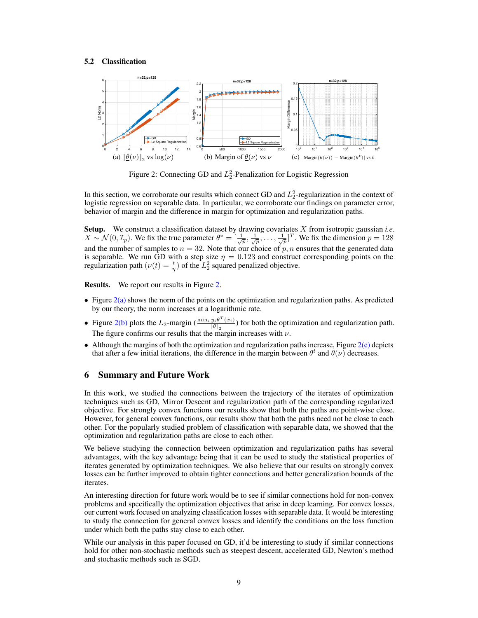#### 5.2 Classification

<span id="page-8-1"></span><span id="page-8-0"></span>

<span id="page-8-3"></span><span id="page-8-2"></span>Figure 2: Connecting GD and  $L_2^2$ -Penalization for Logistic Regression

In this section, we corroborate our results which connect GD and  $L_2^2$ -regularization in the context of logistic regression on separable data. In particular, we corroborate our findings on parameter error, behavior of margin and the difference in margin for optimization and regularization paths.

Setup. We construct a classification dataset by drawing covariates *X* from isotropic gaussian *i.e*.  $X \sim \mathcal{N}(0, \mathcal{I}_p)$ . We fix the true parameter  $\theta^* = [\frac{1}{\sqrt{p}}, \frac{1}{\sqrt{p}}, \dots, \frac{1}{\sqrt{p}}]^T$ . We fix the dimension  $p = 128$ and the number of samples to  $n = 32$ . Note that our choice of  $p, n$  ensures that the generated data is separable. We run GD with a step size  $\eta = 0.123$  and construct corresponding points on the regularization path  $(\nu(t) = \frac{t}{\eta})$  of the  $L_2^2$  squared penalized objective.

**Results.** We report our results in Figure [2.](#page-8-0)

- Figure [2\(a\)](#page-8-1) shows the norm of the points on the optimization and regularization paths. As predicted by our theory, the norm increases at a logarithmic rate.
- Figure [2\(b\)](#page-8-2) plots the *L*<sub>2</sub>-margin ( $\frac{\min_i y_i \theta^T(x_i)}{\|\theta\|_2}$ ) for both the optimization and regularization path. The figure confirms our results that the margin increases with  $\nu$ .
- Although the margins of both the optimization and regularization paths increase, Figure [2\(c\)](#page-8-3) depicts that after a few initial iterations, the difference in the margin between  $\theta^t$  and  $\underline{\theta}(\nu)$  decreases.

## 6 Summary and Future Work

In this work, we studied the connections between the trajectory of the iterates of optimization techniques such as GD, Mirror Descent and regularization path of the corresponding regularized objective. For strongly convex functions our results show that both the paths are point-wise close. However, for general convex functions, our results show that both the paths need not be close to each other. For the popularly studied problem of classification with separable data, we showed that the optimization and regularization paths are close to each other.

We believe studying the connection between optimization and regularization paths has several advantages, with the key advantage being that it can be used to study the statistical properties of iterates generated by optimization techniques. We also believe that our results on strongly convex losses can be further improved to obtain tighter connections and better generalization bounds of the iterates.

An interesting direction for future work would be to see if similar connections hold for non-convex problems and specifically the optimization objectives that arise in deep learning. For convex losses, our current work focused on analyzing classification losses with separable data. It would be interesting to study the connection for general convex losses and identify the conditions on the loss function under which both the paths stay close to each other.

While our analysis in this paper focused on GD, it'd be interesting to study if similar connections hold for other non-stochastic methods such as steepest descent, accelerated GD, Newton's method and stochastic methods such as SGD.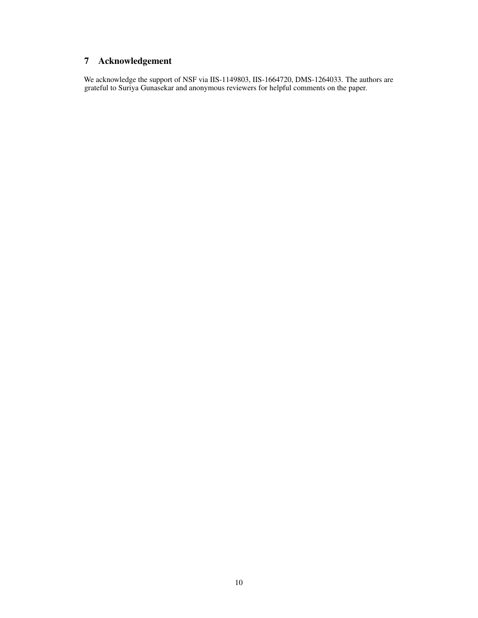# 7 Acknowledgement

We acknowledge the support of NSF via IIS-1149803, IIS-1664720, DMS-1264033. The authors are grateful to Suriya Gunasekar and anonymous reviewers for helpful comments on the paper.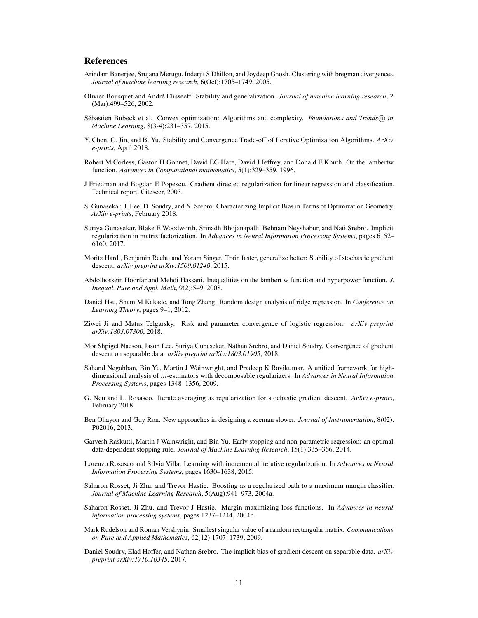## **References**

- <span id="page-10-13"></span>Arindam Banerjee, Srujana Merugu, Inderjit S Dhillon, and Joydeep Ghosh. Clustering with bregman divergences. *Journal of machine learning research*, 6(Oct):1705–1749, 2005.
- <span id="page-10-12"></span>Olivier Bousquet and André Elisseeff. Stability and generalization. *Journal of machine learning research*, 2 (Mar):499–526, 2002.
- <span id="page-10-14"></span>Sébastien Bubeck et al. Convex optimization: Algorithms and complexity. *Foundations and Trends*<sup>R</sup> *in Machine Learning*, 8(3-4):231–357, 2015.
- <span id="page-10-11"></span>Y. Chen, C. Jin, and B. Yu. Stability and Convergence Trade-off of Iterative Optimization Algorithms. *ArXiv e-prints*, April 2018.
- <span id="page-10-17"></span>Robert M Corless, Gaston H Gonnet, David EG Hare, David J Jeffrey, and Donald E Knuth. On the lambertw function. *Advances in Computational mathematics*, 5(1):329–359, 1996.
- <span id="page-10-6"></span>J Friedman and Bogdan E Popescu. Gradient directed regularization for linear regression and classification. Technical report, Citeseer, 2003.
- <span id="page-10-2"></span>S. Gunasekar, J. Lee, D. Soudry, and N. Srebro. Characterizing Implicit Bias in Terms of Optimization Geometry. *ArXiv e-prints*, February 2018.
- <span id="page-10-0"></span>Suriya Gunasekar, Blake E Woodworth, Srinadh Bhojanapalli, Behnam Neyshabur, and Nati Srebro. Implicit regularization in matrix factorization. In *Advances in Neural Information Processing Systems*, pages 6152– 6160, 2017.
- <span id="page-10-4"></span>Moritz Hardt, Benjamin Recht, and Yoram Singer. Train faster, generalize better: Stability of stochastic gradient descent. *arXiv preprint arXiv:1509.01240*, 2015.
- Abdolhossein Hoorfar and Mehdi Hassani. Inequalities on the lambert w function and hyperpower function. *J. Inequal. Pure and Appl. Math*, 9(2):5–9, 2008.
- <span id="page-10-10"></span>Daniel Hsu, Sham M Kakade, and Tong Zhang. Random design analysis of ridge regression. In *Conference on Learning Theory*, pages 9–1, 2012.
- <span id="page-10-15"></span>Ziwei Ji and Matus Telgarsky. Risk and parameter convergence of logistic regression. *arXiv preprint arXiv:1803.07300*, 2018.
- Mor Shpigel Nacson, Jason Lee, Suriya Gunasekar, Nathan Srebro, and Daniel Soudry. Convergence of gradient descent on separable data. *arXiv preprint arXiv:1803.01905*, 2018.
- <span id="page-10-9"></span>Sahand Negahban, Bin Yu, Martin J Wainwright, and Pradeep K Ravikumar. A unified framework for highdimensional analysis of *m*-estimators with decomposable regularizers. In *Advances in Neural Information Processing Systems*, pages 1348–1356, 2009.
- <span id="page-10-8"></span>G. Neu and L. Rosasco. Iterate averaging as regularization for stochastic gradient descent. *ArXiv e-prints*, February 2018.
- <span id="page-10-18"></span>Ben Ohayon and Guy Ron. New approaches in designing a zeeman slower. *Journal of Instrumentation*, 8(02): P02016, 2013.
- <span id="page-10-3"></span>Garvesh Raskutti, Martin J Wainwright, and Bin Yu. Early stopping and non-parametric regression: an optimal data-dependent stopping rule. *Journal of Machine Learning Research*, 15(1):335–366, 2014.
- <span id="page-10-5"></span>Lorenzo Rosasco and Silvia Villa. Learning with incremental iterative regularization. In *Advances in Neural Information Processing Systems*, pages 1630–1638, 2015.
- <span id="page-10-7"></span>Saharon Rosset, Ji Zhu, and Trevor Hastie. Boosting as a regularized path to a maximum margin classifier. *Journal of Machine Learning Research*, 5(Aug):941–973, 2004a.
- <span id="page-10-16"></span>Saharon Rosset, Ji Zhu, and Trevor J Hastie. Margin maximizing loss functions. In *Advances in neural information processing systems*, pages 1237–1244, 2004b.
- Mark Rudelson and Roman Vershynin. Smallest singular value of a random rectangular matrix. *Communications on Pure and Applied Mathematics*, 62(12):1707–1739, 2009.
- <span id="page-10-1"></span>Daniel Soudry, Elad Hoffer, and Nathan Srebro. The implicit bias of gradient descent on separable data. *arXiv preprint arXiv:1710.10345*, 2017.